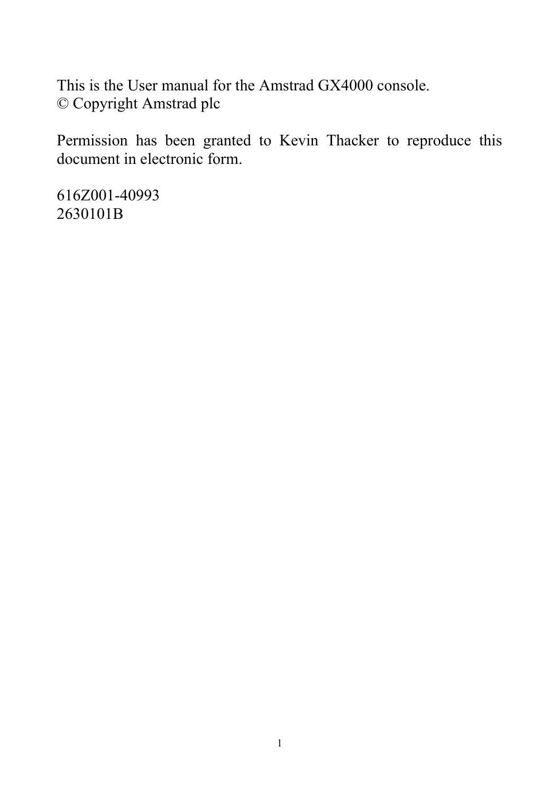This is the User manual for the Amstrad GX4000 console. © Copyright Amstrad plc

Permission has been granted to Kevin Thacker to reproduce this document in electronic form.

616Z001-40993 2630101B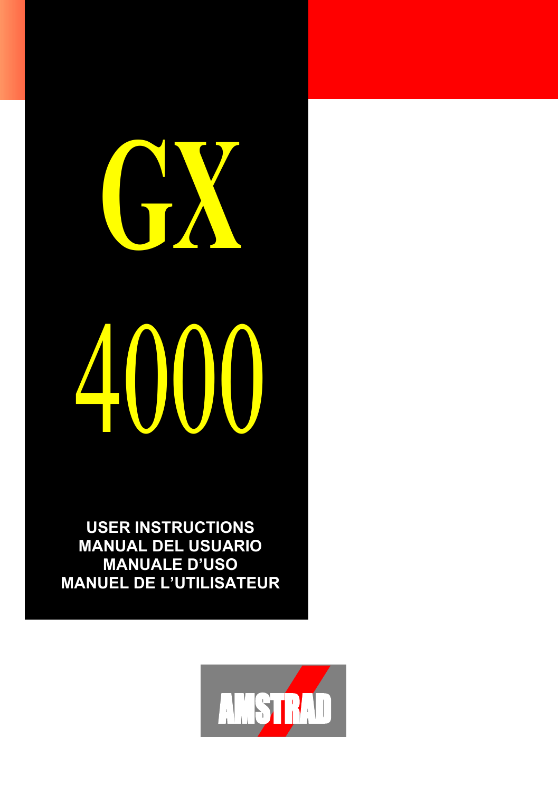# **GX** 4000

**USER INSTRUCTIONS MANUAL DEL USUARIO MANUALE D'USO MANUEL DE L'UTILISATEUR**

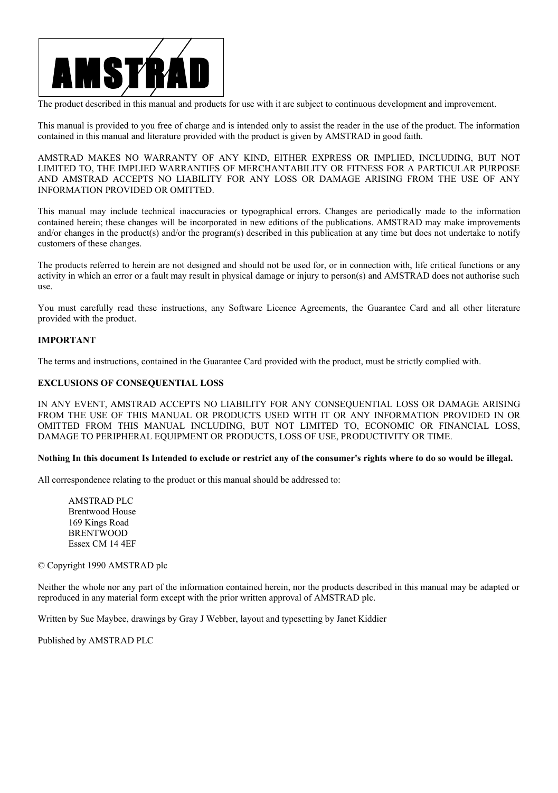

The product described in this manual and products for use with it are subject to continuous development and improvement.

This manual is provided to you free of charge and is intended only to assist the reader in the use of the product. The information contained in this manual and literature provided with the product is given by AMSTRAD in good faith.

AMSTRAD MAKES NO WARRANTY OF ANY KIND, EITHER EXPRESS OR IMPLIED, INCLUDING, BUT NOT LIMITED TO, THE IMPLIED WARRANTIES OF MERCHANTABILITY OR FITNESS FOR A PARTICULAR PURPOSE AND AMSTRAD ACCEPTS NO LIABILITY FOR ANY LOSS OR DAMAGE ARISING FROM THE USE OF ANY INFORMATION PROVIDED OR OMITTED.

This manual may include technical inaccuracies or typographical errors. Changes are periodically made to the information contained herein; these changes will be incorporated in new editions of the publications. AMSTRAD may make improvements and/or changes in the product(s) and/or the program(s) described in this publication at any time but does not undertake to notify customers of these changes.

The products referred to herein are not designed and should not be used for, or in connection with, life critical functions or any activity in which an error or a fault may result in physical damage or injury to person(s) and AMSTRAD does not authorise such use.

You must carefully read these instructions, any Software Licence Agreements, the Guarantee Card and all other literature provided with the product.

#### **IMPORTANT**

The terms and instructions, contained in the Guarantee Card provided with the product, must be strictly complied with.

#### **EXCLUSIONS OF CONSEQUENTIAL LOSS**

IN ANY EVENT, AMSTRAD ACCEPTS NO LIABILITY FOR ANY CONSEQUENTIAL LOSS OR DAMAGE ARISING FROM THE USE OF THIS MANUAL OR PRODUCTS USED WITH IT OR ANY INFORMATION PROVIDED IN OR OMITTED FROM THIS MANUAL INCLUDING, BUT NOT LIMITED TO, ECONOMIC OR FINANCIAL LOSS, DAMAGE TO PERIPHERAL EQUIPMENT OR PRODUCTS, LOSS OF USE, PRODUCTIVITY OR TIME.

#### **Nothing In this document Is Intended to exclude or restrict any of the consumer's rights where to do so would be illegal.**

All correspondence relating to the product or this manual should be addressed to:

AMSTRAD PLC Brentwood House 169 Kings Road BRENTWOOD Essex CM 14 4EF

© Copyright 1990 AMSTRAD plc

Neither the whole nor any part of the information contained herein, nor the products described in this manual may be adapted or reproduced in any material form except with the prior written approval of AMSTRAD plc.

Written by Sue Maybee, drawings by Gray J Webber, layout and typesetting by Janet Kiddier

Published by AMSTRAD PLC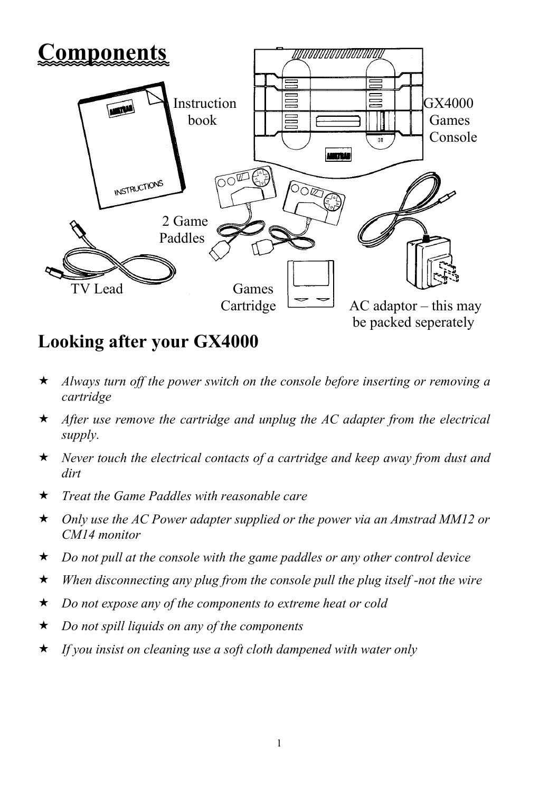

# **Looking after your GX4000**

- *Always turn off the power switch on the console before inserting or removing a cartridge*
- *After use remove the cartridge and unplug the AC adapter from the electrical supply.*
- *Never touch the electrical contacts of a cartridge and keep away from dust and dirt*
- *Treat the Game Paddles with reasonable care*
- *Only use the AC Power adapter supplied or the power via an Amstrad MM12 or CM14 monitor*
- *Do not pull at the console with the game paddles or any other control device*
- *When disconnecting any plug from the console pull the plug itself -not the wire*
- *Do not expose any of the components to extreme heat or cold*
- *Do not spill liquids on any of the components*
- *If you insist on cleaning use a soft cloth dampened with water only*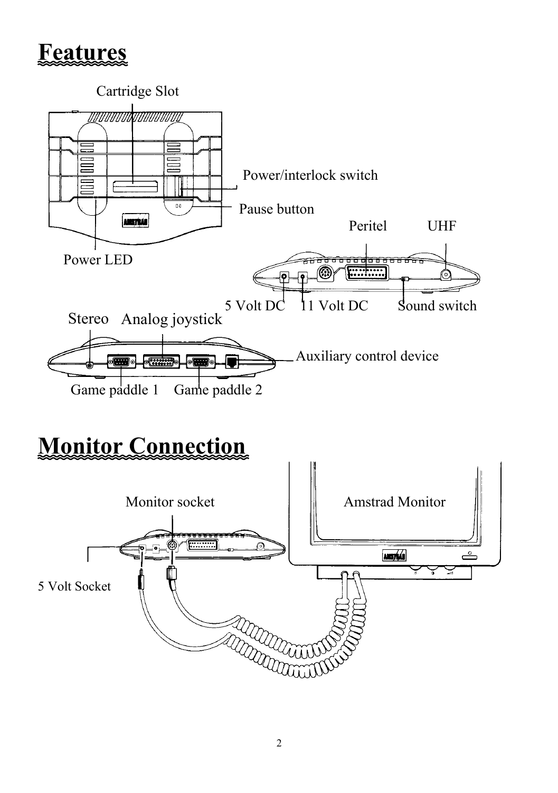# **Features**



# **Monitor Connection**

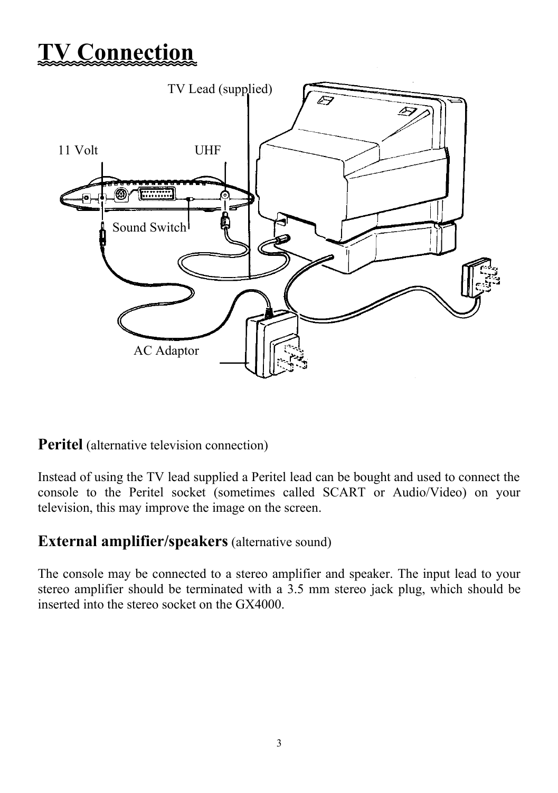# **TV Connection**



**Peritel** (alternative television connection)

Instead of using the TV lead supplied a Peritel lead can be bought and used to connect the console to the Peritel socket (sometimes called SCART or Audio/Video) on your television, this may improve the image on the screen.

## **External amplifier/speakers** (alternative sound)

The console may be connected to a stereo amplifier and speaker. The input lead to your stereo amplifier should be terminated with a 3.5 mm stereo jack plug, which should be inserted into the stereo socket on the GX4000.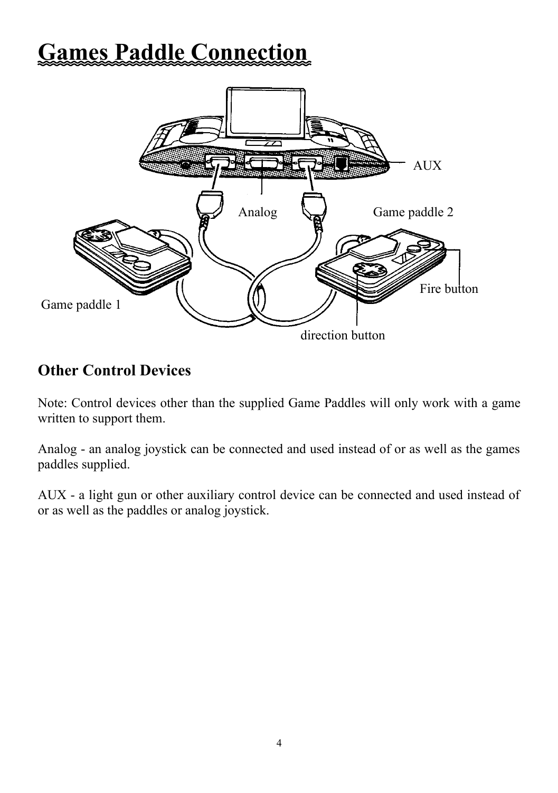# **Games Paddle Connection**



# **Other Control Devices**

Note: Control devices other than the supplied Game Paddles will only work with a game written to support them.

Analog - an analog joystick can be connected and used instead of or as well as the games paddles supplied.

AUX - a light gun or other auxiliary control device can be connected and used instead of or as well as the paddles or analog joystick.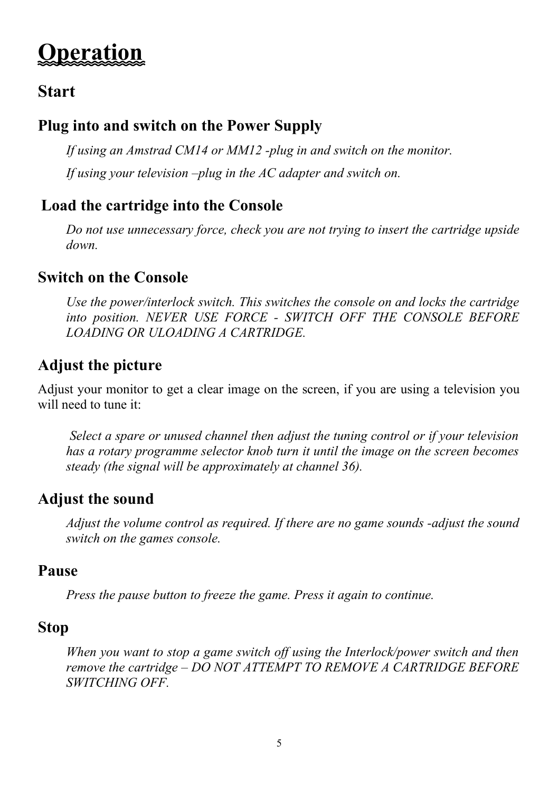# **Operation**

# **Start**

# **Plug into and switch on the Power Supply**

*If using an Amstrad CM14 or MM12 -plug in and switch on the monitor. If using your television –plug in the AC adapter and switch on.*

# **Load the cartridge into the Console**

*Do not use unnecessary force, check you are not trying to insert the cartridge upside down.*

# **Switch on the Console**

*Use the power/interlock switch. This switches the console on and locks the cartridge into position. NEVER USE FORCE - SWITCH OFF THE CONSOLE BEFORE LOADING OR ULOADING A CARTRIDGE.*

# **Adjust the picture**

Adjust your monitor to get a clear image on the screen, if you are using a television you will need to tune it:

*Select a spare or unused channel then adjust the tuning control or if your television has a rotary programme selector knob turn it until the image on the screen becomes steady (the signal will be approximately at channel 36).*

# **Adjust the sound**

*Adjust the volume control as required. If there are no game sounds -adjust the sound switch on the games console.*

# **Pause**

*Press the pause button to freeze the game. Press it again to continue.*

# **Stop**

*When you want to stop a game switch off using the Interlock/power switch and then remove the cartridge – DO NOT ATTEMPT TO REMOVE A CARTRIDGE BEFORE SWITCHING OFF.*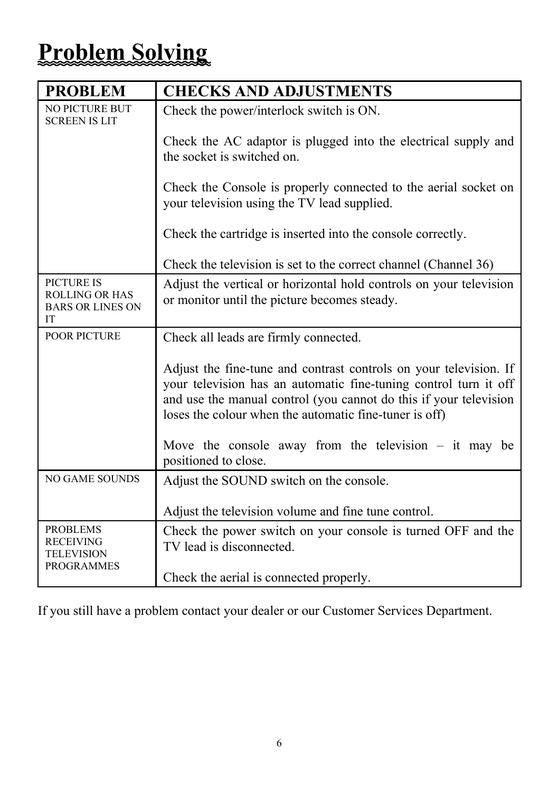# **Problem Solving**

| <b>PROBLEM</b>                                                              | <b>CHECKS AND ADJUSTMENTS</b>                                                                                                                                                                                                                                        |
|-----------------------------------------------------------------------------|----------------------------------------------------------------------------------------------------------------------------------------------------------------------------------------------------------------------------------------------------------------------|
| NO PICTURE BUT<br><b>SCREEN IS LIT</b>                                      | Check the power/interlock switch is ON.                                                                                                                                                                                                                              |
|                                                                             | Check the AC adaptor is plugged into the electrical supply and<br>the socket is switched on.                                                                                                                                                                         |
|                                                                             | Check the Console is properly connected to the aerial socket on<br>your television using the TV lead supplied.                                                                                                                                                       |
|                                                                             | Check the cartridge is inserted into the console correctly.                                                                                                                                                                                                          |
|                                                                             | Check the television is set to the correct channel (Channel 36)                                                                                                                                                                                                      |
| <b>PICTURE IS</b><br><b>ROLLING OR HAS</b><br><b>BARS OR LINES ON</b><br>IТ | Adjust the vertical or horizontal hold controls on your television<br>or monitor until the picture becomes steady.                                                                                                                                                   |
| <b>POOR PICTURE</b>                                                         | Check all leads are firmly connected.                                                                                                                                                                                                                                |
|                                                                             | Adjust the fine-tune and contrast controls on your television. If<br>your television has an automatic fine-tuning control turn it off<br>and use the manual control (you cannot do this if your television<br>loses the colour when the automatic fine-tuner is off) |
|                                                                             | Move the console away from the television $-$ it may be<br>positioned to close.                                                                                                                                                                                      |
| <b>NO GAME SOUNDS</b>                                                       | Adjust the SOUND switch on the console.                                                                                                                                                                                                                              |
|                                                                             | Adjust the television volume and fine tune control.                                                                                                                                                                                                                  |
| <b>PROBLEMS</b><br>RECEIVING<br><b>TELEVISION</b><br><b>PROGRAMMES</b>      | Check the power switch on your console is turned OFF and the<br>TV lead is disconnected.                                                                                                                                                                             |
|                                                                             | Check the aerial is connected properly.                                                                                                                                                                                                                              |

If you still have a problem contact your dealer or our Customer Services Department.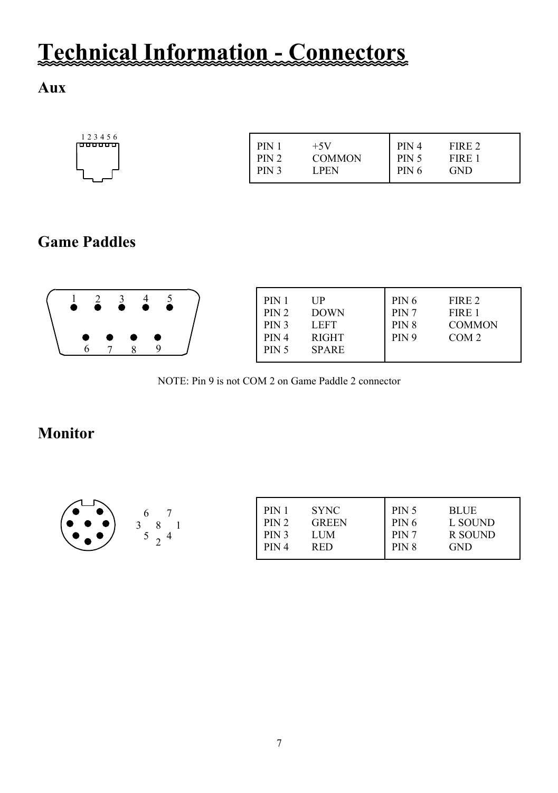# **Technical Information - Connectors**

## **Aux**

# **Game Paddles**



NOTE: Pin 9 is not COM 2 on Game Paddle 2 connector

## **Monitor**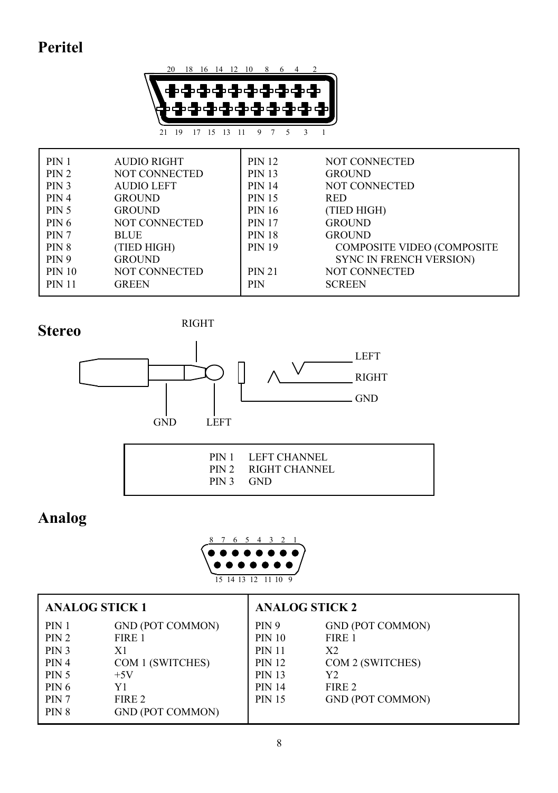# **Peritel**





RIGHT



|  | PIN 1 LEFT CHANNEL<br>PIN 2 RIGHT CHANNEL<br>PIN 3 GND |
|--|--------------------------------------------------------|
|--|--------------------------------------------------------|

# **Analog**



| <b>ANALOG STICK 1</b> |                         | <b>ANALOG STICK 2</b> |                         |
|-----------------------|-------------------------|-----------------------|-------------------------|
| PIN 1                 | <b>GND (POT COMMON)</b> | <b>PIN 9</b>          | <b>GND (POT COMMON)</b> |
| PIN 2                 | FIRE 1                  | <b>PIN 10</b>         | FIRE 1                  |
| PIN 3                 | X1                      | <b>PIN 11</b>         | X <sub>2</sub>          |
| PIN 4                 | COM 1 (SWITCHES)        | <b>PIN 12</b>         | COM 2 (SWITCHES)        |
| <b>PIN 5</b>          | $+5V$                   | <b>PIN 13</b>         | Y2                      |
| PIN 6                 | Y1                      | <b>PIN 14</b>         | FIRE 2                  |
| PIN <sub>7</sub>      | FIRE 2                  | <b>PIN 15</b>         | <b>GND (POT COMMON)</b> |
| PIN <sub>8</sub>      | <b>GND (POT COMMON)</b> |                       |                         |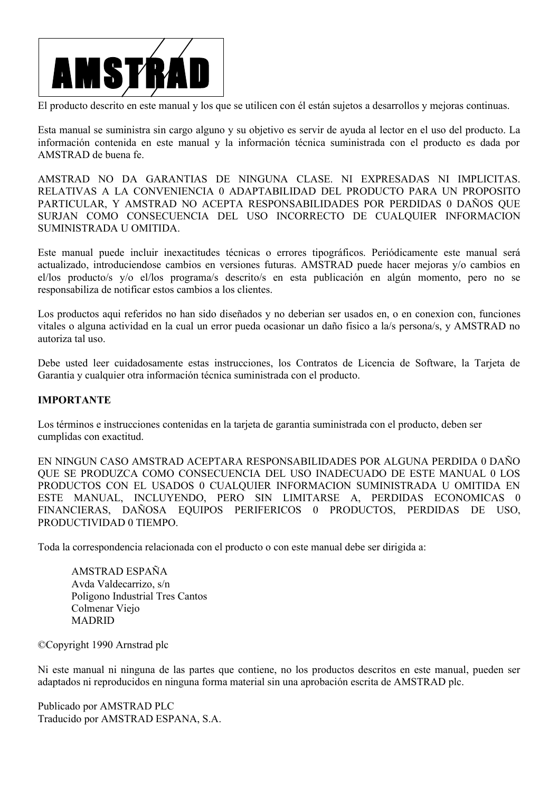

El producto descrito en este manual y los que se utilicen con él están sujetos a desarrollos y mejoras continuas.

Esta manual se suministra sin cargo alguno y su objetivo es servir de ayuda al lector en el uso del producto. La información contenida en este manual y la información técnica suministrada con el producto es dada por AMSTRAD de buena fe.

AMSTRAD NO DA GARANTIAS DE NINGUNA CLASE. NI EXPRESADAS NI IMPLICITAS. RELATIVAS A LA CONVENIENCIA 0 ADAPTABILIDAD DEL PRODUCTO PARA UN PROPOSITO PARTICULAR, Y AMSTRAD NO ACEPTA RESPONSABILIDADES POR PERDIDAS 0 DAÑOS QUE SURJAN COMO CONSECUENCIA DEL USO INCORRECTO DE CUALQUIER INFORMACION SUMINISTRADA U OMITIDA.

Este manual puede incluir inexactitudes técnicas o errores tipográficos. Periódicamente este manual será actualizado, introduciendose cambios en versiones futuras. AMSTRAD puede hacer mejoras y/o cambios en el/los producto/s y/o el/los programa/s descrito/s en esta publicación en algún momento, pero no se responsabiliza de notificar estos cambios a los clientes.

Los productos aqui referidos no han sido diseñados y no deberian ser usados en, o en conexion con, funciones vitales o alguna actividad en la cual un error pueda ocasionar un daño fisico a la/s persona/s, y AMSTRAD no autoriza tal uso.

Debe usted leer cuidadosamente estas instrucciones, los Contratos de Licencia de Software, la Tarjeta de Garantia y cualquier otra información técnica suministrada con el producto.

#### **IMPORTANTE**

Los términos e instrucciones contenidas en la tarjeta de garantia suministrada con el producto, deben ser cumplidas con exactitud.

EN NINGUN CASO AMSTRAD ACEPTARA RESPONSABILIDADES POR ALGUNA PERDIDA 0 DAÑO QUE SE PRODUZCA COMO CONSECUENCIA DEL USO INADECUADO DE ESTE MANUAL 0 LOS PRODUCTOS CON EL USADOS 0 CUALQUIER INFORMACION SUMINISTRADA U OMITIDA EN ESTE MANUAL, INCLUYENDO, PERO SIN LIMITARSE A, PERDIDAS ECONOMICAS 0 FINANCIERAS, DAÑOSA EQUIPOS PERIFERICOS 0 PRODUCTOS, PERDIDAS DE USO, PRODUCTIVIDAD 0 TIEMPO.

Toda la correspondencia relacionada con el producto o con este manual debe ser dirigida a:

AMSTRAD ESPAÑA Avda Valdecarrizo, s/n Poligono Industrial Tres Cantos Colmenar Viejo MADRID

©Copyright 1990 Arnstrad plc

Ni este manual ni ninguna de las partes que contiene, no los productos descritos en este manual, pueden ser adaptados ni reproducidos en ninguna forma material sin una aprobación escrita de AMSTRAD plc.

Publicado por AMSTRAD PLC Traducido por AMSTRAD ESPANA, S.A.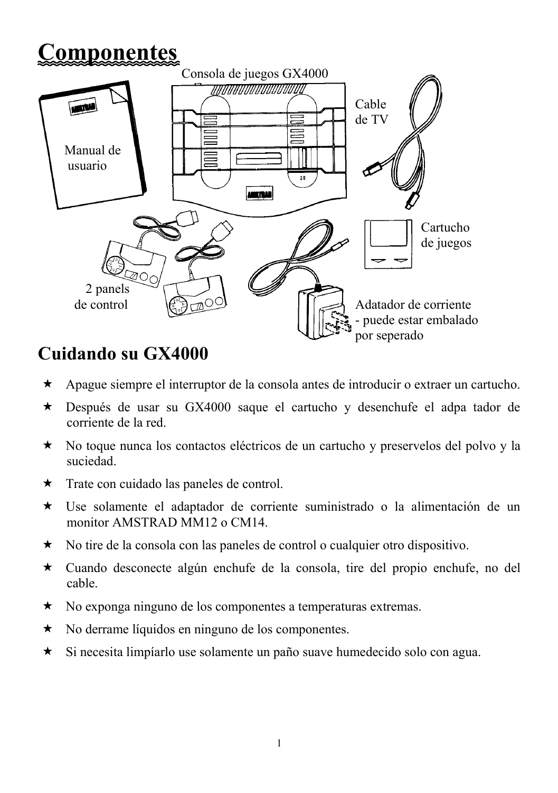# **Componentes**



# **Cuidando su GX4000**

- Apague siempre el interruptor de la consola antes de introducir o extraer un cartucho.
- Después de usar su GX4000 saque el cartucho y desenchufe el adpa tador de corriente de la red.
- No toque nunca los contactos eléctricos de un cartucho y preservelos del polvo y la suciedad.
- $\star$  Trate con cuidado las paneles de control.
- Use solamente el adaptador de corriente suministrado o la alimentación de un monitor AMSTRAD MM12 o CM14.
- No tire de la consola con las paneles de control o cualquier otro dispositivo.
- Cuando desconecte algún enchufe de la consola, tire del propio enchufe, no del cable.
- No exponga ninguno de los componentes a temperaturas extremas.
- $\star$  No derrame líquidos en ninguno de los componentes.
- Si necesita limpíarlo use solamente un paño suave humedecido solo con agua.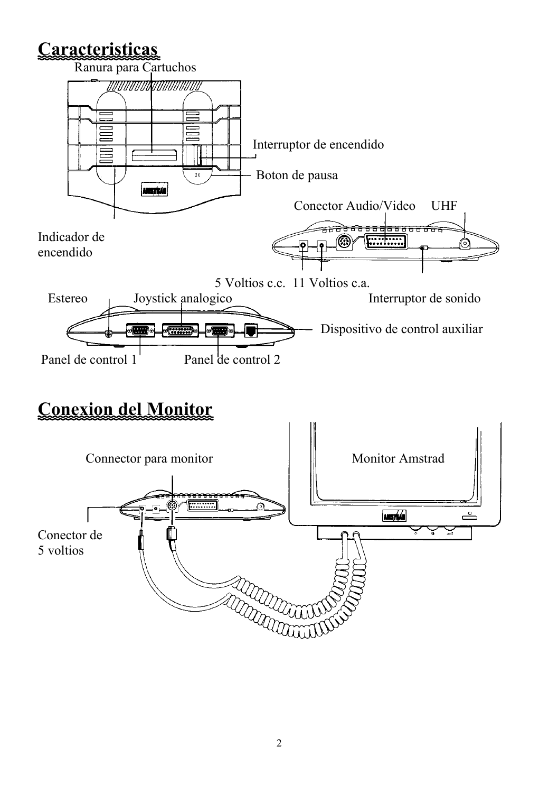# **Caracteristicas**



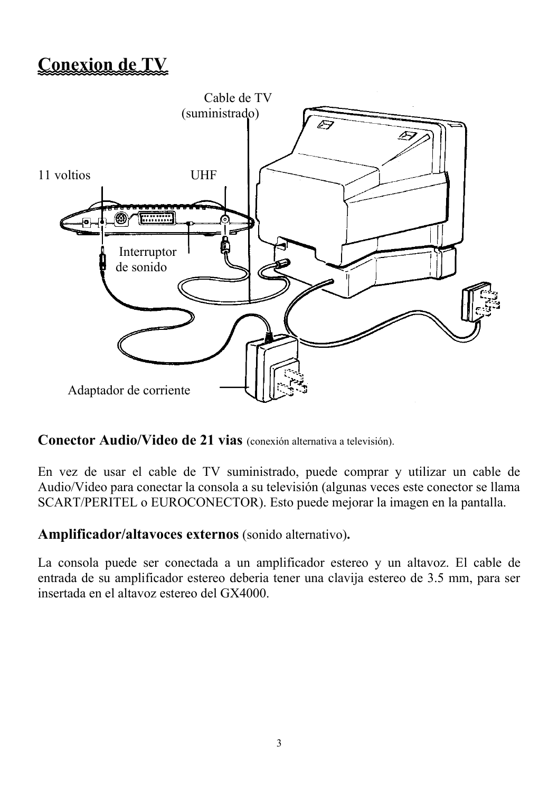# **Conexion de TV**



## **Conector Audio/Video de 21 vias** (conexión alternativa a televisión).

En vez de usar el cable de TV suministrado, puede comprar y utilizar un cable de Audio/Video para conectar la consola a su televisión (algunas veces este conector se llama SCART/PERITEL o EUROCONECTOR). Esto puede mejorar la imagen en la pantalla.

**Amplificador/altavoces externos** (sonido alternativo)**.**

La consola puede ser conectada a un amplificador estereo y un altavoz. El cable de entrada de su amplificador estereo deberia tener una clavija estereo de 3.5 mm, para ser insertada en el altavoz estereo del GX4000.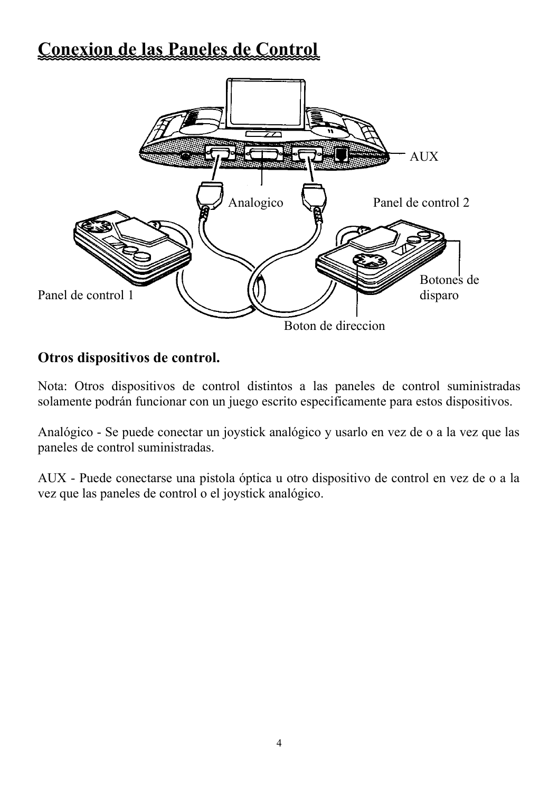# **Conexion de las Paneles de Control**



## **Otros dispositivos de control.**

Nota: Otros dispositivos de control distintos a las paneles de control suministradas solamente podrán funcionar con un juego escrito especificamente para estos dispositivos.

Analógico - Se puede conectar un joystick analógico y usarlo en vez de o a la vez que las paneles de control suministradas.

AUX - Puede conectarse una pistola óptica u otro dispositivo de control en vez de o a la vez que las paneles de control o el joystick analógico.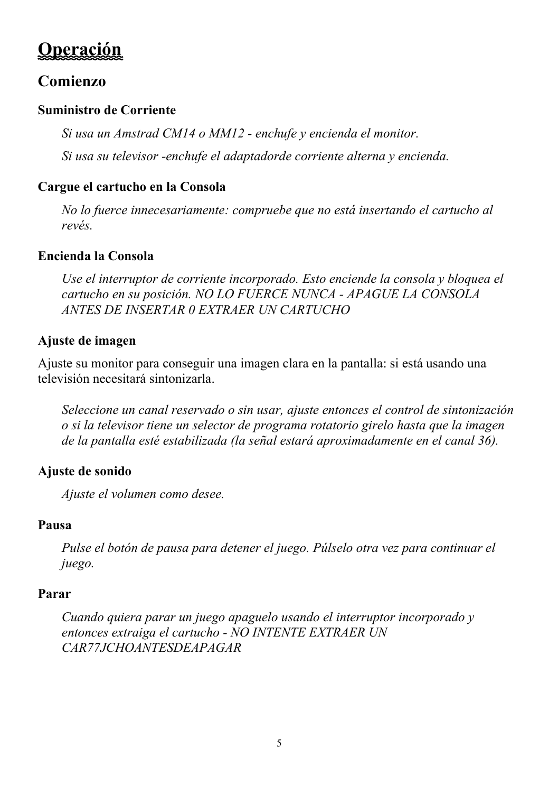# **Operación**

# **Comienzo**

## **Suministro de Corriente**

*Si usa un Amstrad CM14 o MM12 - enchufe y encienda el monitor.*

*Si usa su televisor -enchufe el adaptadorde corriente alterna y encienda.*

## **Cargue el cartucho en la Consola**

*No lo fuerce innecesariamente: compruebe que no está insertando el cartucho al revés.*

## **Encienda la Consola**

*Use el interruptor de corriente incorporado. Esto enciende la consola y bloquea el cartucho en su posición. NO LO FUERCE NUNCA - APAGUE LA CONSOLA ANTES DE INSERTAR 0 EXTRAER UN CARTUCHO*

## **Ajuste de imagen**

Ajuste su monitor para conseguir una imagen clara en la pantalla: si está usando una televisión necesitará sintonizarla.

*Seleccione un canal reservado o sin usar, ajuste entonces el control de sintonización o si la televisor tiene un selector de programa rotatorio girelo hasta que la imagen de la pantalla esté estabilizada (la señal estará aproximadamente en el canal 36).*

## **Ajuste de sonido**

*Ajuste el volumen como desee.*

## **Pausa**

*Pulse el botón de pausa para detener el juego. Púlselo otra vez para continuar el juego.*

## **Parar**

*Cuando quiera parar un juego apaguelo usando el interruptor incorporado y entonces extraiga el cartucho - NO INTENTE EXTRAER UN CAR77JCHOANTESDEAPAGAR*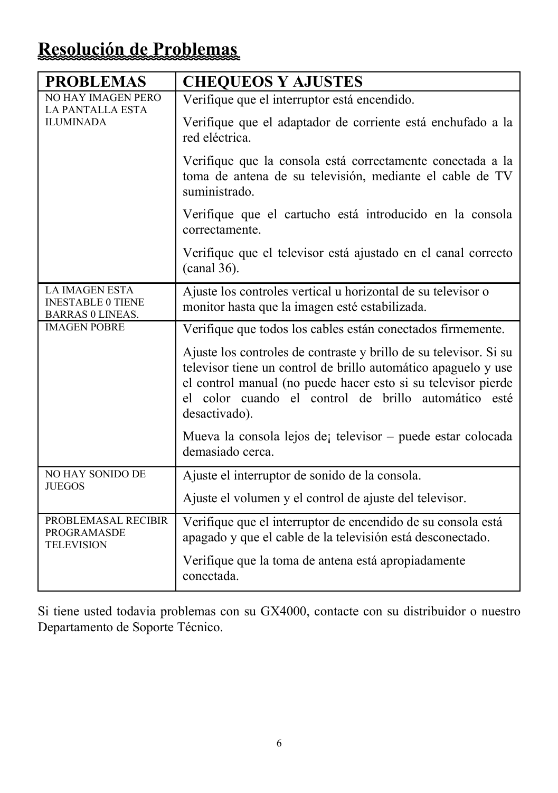# **Resolución de Problemas**

| <b>PROBLEMAS</b>                                                             | <b>CHEQUEOS Y AJUSTES</b>                                                                                                                                                                                                                                                     |  |  |
|------------------------------------------------------------------------------|-------------------------------------------------------------------------------------------------------------------------------------------------------------------------------------------------------------------------------------------------------------------------------|--|--|
| <b>NO HAY IMAGEN PERO</b><br>LA PANTALLA ESTA                                | Verifique que el interruptor está encendido.                                                                                                                                                                                                                                  |  |  |
| <b>ILUMINADA</b>                                                             | Verifique que el adaptador de corriente está enchufado a la<br>red eléctrica.                                                                                                                                                                                                 |  |  |
|                                                                              | Verifique que la consola está correctamente conectada a la<br>toma de antena de su televisión, mediante el cable de TV<br>suministrado.                                                                                                                                       |  |  |
|                                                                              | Verifique que el cartucho está introducido en la consola<br>correctamente.                                                                                                                                                                                                    |  |  |
|                                                                              | Verifique que el televisor está ajustado en el canal correcto<br>$(canal 36)$ .                                                                                                                                                                                               |  |  |
| <b>LA IMAGEN ESTA</b><br><b>INESTABLE 0 TIENE</b><br><b>BARRAS 0 LINEAS.</b> | Ajuste los controles vertical u horizontal de su televisor o<br>monitor hasta que la imagen esté estabilizada.                                                                                                                                                                |  |  |
| <b>IMAGEN POBRE</b>                                                          | Verifique que todos los cables están conectados firmemente.                                                                                                                                                                                                                   |  |  |
|                                                                              | Ajuste los controles de contraste y brillo de su televisor. Si su<br>televisor tiene un control de brillo automático apaguelo y use<br>el control manual (no puede hacer esto si su televisor pierde<br>el color cuando el control de brillo automático esté<br>desactivado). |  |  |
|                                                                              | Mueva la consola lejos de televisor – puede estar colocada<br>demasiado cerca.                                                                                                                                                                                                |  |  |
| NO HAY SONIDO DE<br><b>JUEGOS</b>                                            | Ajuste el interruptor de sonido de la consola.                                                                                                                                                                                                                                |  |  |
|                                                                              | Ajuste el volumen y el control de ajuste del televisor.                                                                                                                                                                                                                       |  |  |
| PROBLEMASAL RECIBIR<br><b>PROGRAMASDE</b><br><b>TELEVISION</b>               | Verifique que el interruptor de encendido de su consola está<br>apagado y que el cable de la televisión está desconectado.                                                                                                                                                    |  |  |
|                                                                              | Verifique que la toma de antena está apropiadamente<br>conectada.                                                                                                                                                                                                             |  |  |

Si tiene usted todavia problemas con su GX4000, contacte con su distribuidor o nuestro Departamento de Soporte Técnico.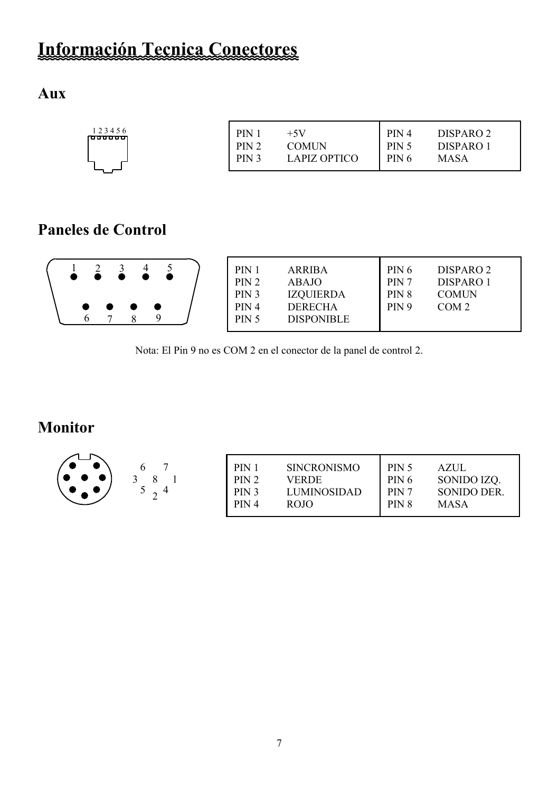# **Información Tecnica Conectores**

# **Aux**

| 123456<br>DISPARO <sub>2</sub><br>PIN.<br>PIN <sub>4</sub><br>$+5V$<br>n <del>oo oo oo</del><br>PIN 2<br>PIN <sub>5</sub><br>DISPARO 1<br>COMUN<br>PIN 3<br>PIN 6<br>LAPIZ OPTICO<br><b>MASA</b> |  |
|--------------------------------------------------------------------------------------------------------------------------------------------------------------------------------------------------|--|
|--------------------------------------------------------------------------------------------------------------------------------------------------------------------------------------------------|--|

# **Paneles de Control**

|  |  |  | $\qquad \qquad \bullet$ | . . |  |  |  | $PIN_1$<br>PIN 2<br>PIN <sub>3</sub><br>PIN <sub>4</sub><br><b>PIN 5</b> | <b>ARRIBA</b><br><b>ABAJO</b><br><b>IZOUIERDA</b><br><b>DERECHA</b><br><b>DISPONIBLE</b> | PIN 6<br>PIN 7<br>PIN 8<br>PIN 9 | DISPARO 2<br>DISPARO 1<br><b>COMUN</b><br>COM <sub>2</sub> |
|--|--|--|-------------------------|-----|--|--|--|--------------------------------------------------------------------------|------------------------------------------------------------------------------------------|----------------------------------|------------------------------------------------------------|
|--|--|--|-------------------------|-----|--|--|--|--------------------------------------------------------------------------|------------------------------------------------------------------------------------------|----------------------------------|------------------------------------------------------------|

Nota: El Pin 9 no es COM 2 en el conector de la panel de control 2.

# **Monitor**

| ∼ | PIN              | <b>SINCRONISMO</b> | PIN 5            | AZJJL              |
|---|------------------|--------------------|------------------|--------------------|
|   | PIN 2            | <b>VERDE</b>       | PIN 6            | SONIDO IZO.        |
|   | PIN <sub>3</sub> | LUMINOSIDAD        | PIN <sub>7</sub> | <b>SONIDO DER.</b> |
|   | PIN <sub>4</sub> | <b>ROJO</b>        | PIN <sub>8</sub> | <b>MASA</b>        |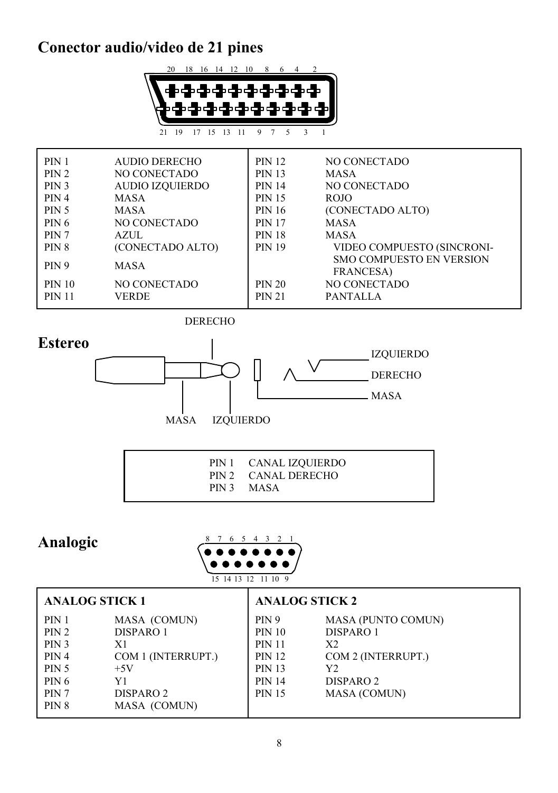# **Conector audio/video de 21 pines**



| <b>PIN 1</b>     | AUDIO DERECHO          | <b>PIN 12</b> | NO CONECTADO                    |
|------------------|------------------------|---------------|---------------------------------|
| PIN 2            | <b>NO CONECTADO</b>    | <b>PIN 13</b> | <b>MASA</b>                     |
| PIN 3            | <b>AUDIO IZQUIERDO</b> | <b>PIN 14</b> | NO CONECTADO                    |
| PIN 4            | MASA                   | <b>PIN 15</b> | <b>ROJO</b>                     |
| PIN 5            | <b>MASA</b>            | <b>PIN 16</b> | (CONECTADO ALTO)                |
| PIN 6            | NO CONECTADO           | <b>PIN 17</b> | <b>MASA</b>                     |
| PIN 7            | <b>AZUL</b>            | <b>PIN 18</b> | <b>MASA</b>                     |
| PIN <sub>8</sub> | (CONECTADO ALTO)       | <b>PIN 19</b> | VIDEO COMPUESTO (SINCRONI-      |
| PIN <sub>9</sub> | <b>MASA</b>            |               | <b>SMO COMPUESTO EN VERSION</b> |
|                  |                        |               | <b>FRANCESA</b> )               |
| <b>PIN 10</b>    | NO CONECTADO           | <b>PIN 20</b> | NO CONECTADO                    |
| <b>PIN 11</b>    | VERDE                  | <b>PIN 21</b> | <b>PANTALLA</b>                 |

DERECHO

# **Estereo**



|  | PIN 1 CANAL IZQUIERDO             |  |
|--|-----------------------------------|--|
|  | PIN 2 CANAL DERECHO<br>PIN 3 MASA |  |

# **Analogic**



| <b>ANALOG STICK 1</b>                                              |                                                                                              | <b>ANALOG STICK 2</b>                                                                                              |                                                                                                                         |  |  |
|--------------------------------------------------------------------|----------------------------------------------------------------------------------------------|--------------------------------------------------------------------------------------------------------------------|-------------------------------------------------------------------------------------------------------------------------|--|--|
| PIN 1<br>PIN 2<br>PIN 3<br>PIN 4<br><b>PIN 5</b><br>PIN 6<br>PIN 7 | MASA (COMUN)<br>DISPARO 1<br>X1<br>COM 1 (INTERRUPT.)<br>$+5V$<br>Y1<br>DISPARO <sub>2</sub> | <b>PIN 9</b><br><b>PIN 10</b><br><b>PIN 11</b><br><b>PIN 12</b><br><b>PIN 13</b><br><b>PIN 14</b><br><b>PIN 15</b> | <b>MASA (PUNTO COMUN)</b><br>DISPARO 1<br>X2<br>COM 2 (INTERRUPT.)<br>Y2<br>DISPARO <sub>2</sub><br><b>MASA (COMUN)</b> |  |  |
| PIN 8                                                              | MASA (COMUN)                                                                                 |                                                                                                                    |                                                                                                                         |  |  |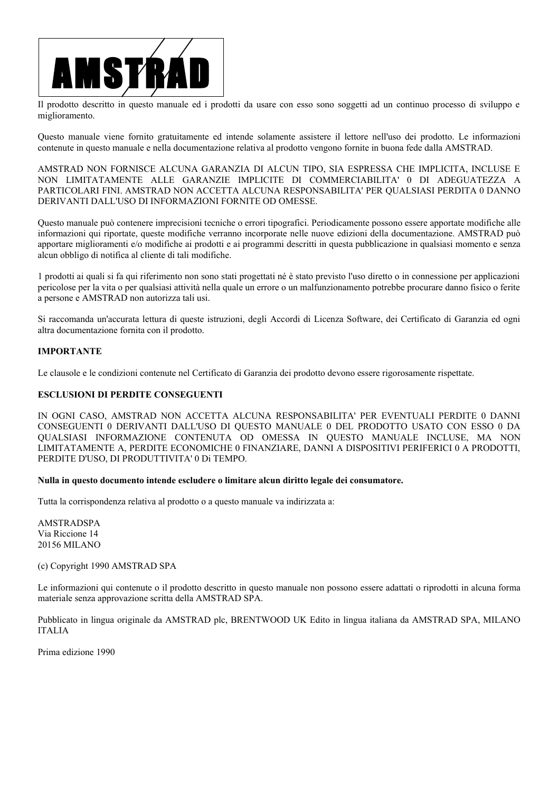

Il prodotto descritto in questo manuale ed i prodotti da usare con esso sono soggetti ad un continuo processo di sviluppo e miglioramento.

Questo manuale viene fornito gratuitamente ed intende solamente assistere il lettore nell'uso dei prodotto. Le informazioni contenute in questo manuale e nella documentazione relativa al prodotto vengono fornite in buona fede dalla AMSTRAD.

AMSTRAD NON FORNISCE ALCUNA GARANZIA DI ALCUN TIPO, SIA ESPRESSA CHE IMPLICITA, INCLUSE E NON LIMITATAMENTE ALLE GARANZIE IMPLICITE DI COMMERCIABILITA' 0 DI ADEGUATEZZA A PARTICOLARI FINI. AMSTRAD NON ACCETTA ALCUNA RESPONSABILITA' PER QUALSIASI PERDITA 0 DANNO DERIVANTI DALL'USO DI INFORMAZIONI FORNITE OD OMESSE.

Questo manuale può contenere imprecisioni tecniche o errori tipografici. Periodicamente possono essere apportate modifiche alle informazioni qui riportate, queste modifiche verranno incorporate nelle nuove edizioni della documentazione. AMSTRAD può apportare miglioramenti e/o modifiche ai prodotti e ai programmi descritti in questa pubblicazione in qualsiasi momento e senza alcun obbligo di notifica al cliente di tali modifiche.

1 prodotti ai quali si fa qui riferimento non sono stati progettati né è stato previsto l'uso diretto o in connessione per applicazioni pericolose per la vita o per qualsiasi attività nella quale un errore o un malfunzionamento potrebbe procurare danno fisico o ferite a persone e AMSTRAD non autorizza tali usi.

Si raccomanda un'accurata lettura di queste istruzioni, degli Accordi di Licenza Software, dei Certificato di Garanzia ed ogni altra documentazione fornita con il prodotto.

#### **IMPORTANTE**

Le clausole e le condizioni contenute nel Certificato di Garanzia dei prodotto devono essere rigorosamente rispettate.

#### **ESCLUSIONI DI PERDITE CONSEGUENTI**

IN OGNI CASO, AMSTRAD NON ACCETTA ALCUNA RESPONSABILITA' PER EVENTUALI PERDITE 0 DANNI CONSEGUENTI 0 DERIVANTI DALL'USO DI QUESTO MANUALE 0 DEL PRODOTTO USATO CON ESSO 0 DA QUALSIASI INFORMAZIONE CONTENUTA OD OMESSA IN QUESTO MANUALE INCLUSE, MA NON LIMITATAMENTE A, PERDITE ECONOMICHE 0 FINANZIARE, DANNI A DISPOSITIVI PERIFERICI 0 A PRODOTTI, PERDITE D'USO, DI PRODUTTIVITA' 0 Di TEMPO.

#### **Nulla in questo documento intende escludere o limitare alcun diritto legale dei consumatore.**

Tutta la corrispondenza relativa al prodotto o a questo manuale va indirizzata a:

AMSTRADSPA Via Riccione 14 20156 MILANO

(c) Copyright 1990 AMSTRAD SPA

Le informazioni qui contenute o il prodotto descritto in questo manuale non possono essere adattati o riprodotti in alcuna forma materiale senza approvazione scritta della AMSTRAD SPA.

Pubblicato in lingua originale da AMSTRAD plc, BRENTWOOD UK Edito in lingua italiana da AMSTRAD SPA, MILANO ITALIA

Prima edizione 1990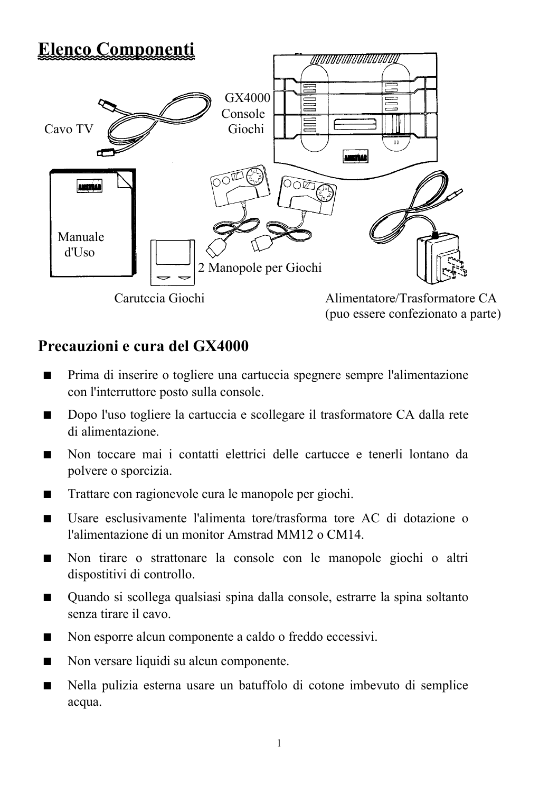# **Elenco Componenti**



# **Precauzioni e cura del GX4000**

- Prima di inserire o togliere una cartuccia spegnere sempre l'alimentazione con l'interruttore posto sulla console.
- Dopo l'uso togliere la cartuccia e scollegare il trasformatore CA dalla rete di alimentazione.
- Non toccare mai i contatti elettrici delle cartucce e tenerli lontano da polvere o sporcizia.
- Trattare con ragionevole cura le manopole per giochi.
- Usare esclusivamente l'alimenta tore/trasforma tore AC di dotazione o l'alimentazione di un monitor Amstrad MM12 o CM14.
- Non tirare o strattonare la console con le manopole giochi o altri dispostitivi di controllo.
- Ouando si scollega qualsiasi spina dalla console, estrarre la spina soltanto senza tirare il cavo.
- Non esporre alcun componente a caldo o freddo eccessivi.
- Non versare liquidi su alcun componente.
- Nella pulizia esterna usare un batuffolo di cotone imbevuto di semplice acqua.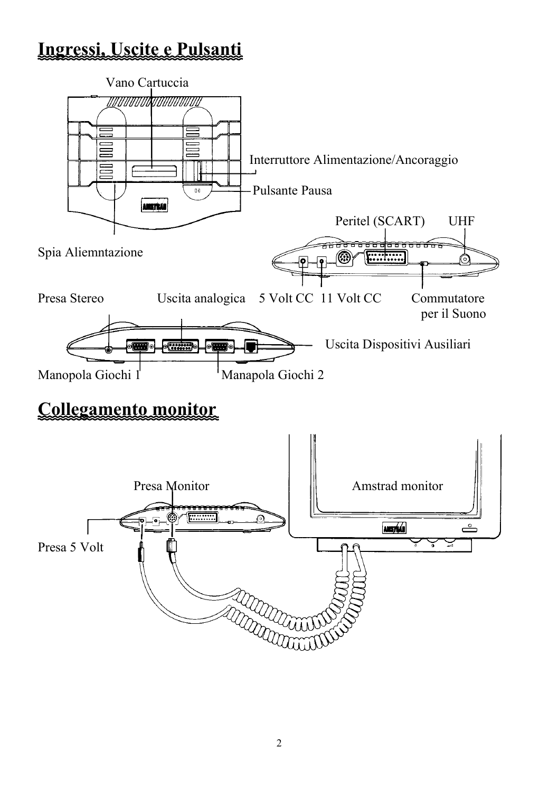# **Ingressi, Uscite e Pulsanti**

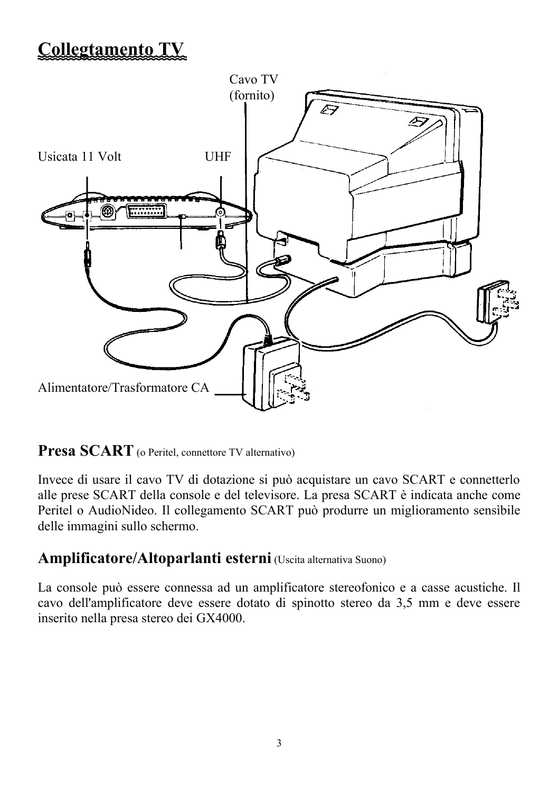# **Collegtamento TV**



**Presa SCART** (o Peritel, connettore TV alternativo)

Invece di usare il cavo TV di dotazione si può acquistare un cavo SCART e connetterlo alle prese SCART della console e del televisore. La presa SCART è indicata anche come Peritel o AudioNideo. Il collegamento SCART può produrre un miglioramento sensìbile delle immagini sullo schermo.

## **Amplificatore/Altoparlanti esterni** (Uscita alternativa Suono)

La console può essere connessa ad un amplificatore stereofonico e a casse acustiche. Il cavo dell'amplificatore deve essere dotato di spinotto stereo da 3,5 mm e deve essere inserito nella presa stereo dei GX4000.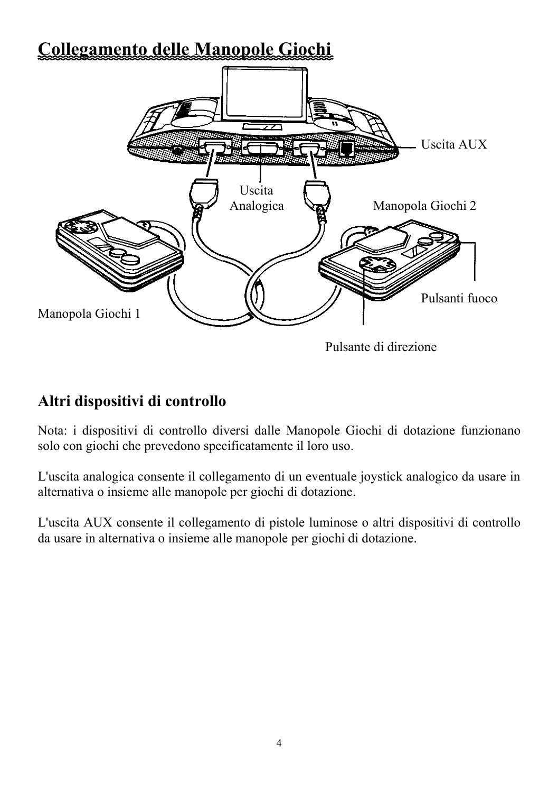# **Collegamento delle Manopole Giochi**



# **Altri dispositivi di controllo**

Nota: i dispositivi di controllo diversi dalle Manopole Giochi di dotazione funzionano solo con giochi che prevedono specificatamente il loro uso.

L'uscita analogica consente il collegamento di un eventuale joystick analogico da usare in alternativa o insieme alle manopole per giochi di dotazione.

L'uscita AUX consente il collegamento di pistole luminose o altri dispositivi di controllo da usare in alternativa o insieme alle manopole per giochi di dotazione.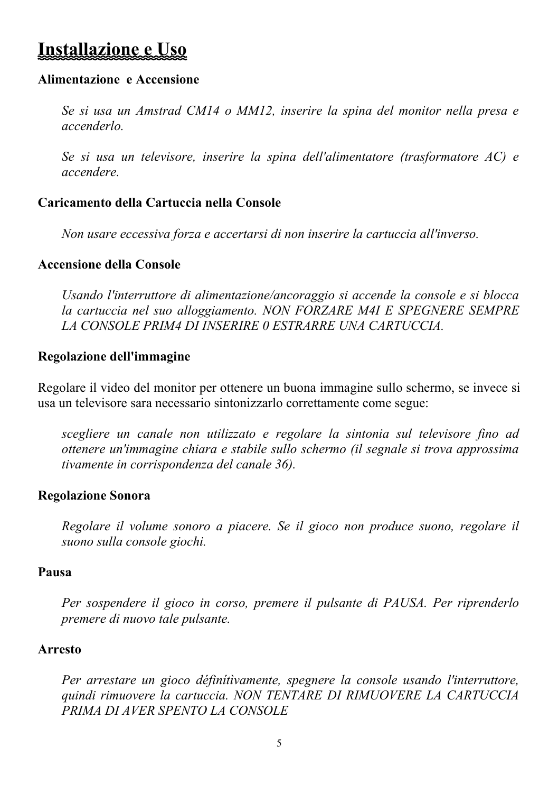# **Installazione e Uso**

## **Alimentazione e Accensione**

*Se si usa un Amstrad CM14 o MM12, inserire la spina del monitor nella presa e accenderlo.*

*Se si usa un televisore, inserire la spina dell'alimentatore (trasformatore AC) e accendere.*

## **Caricamento della Cartuccia nella Console**

*Non usare eccessiva forza e accertarsi di non inserire la cartuccia all'inverso.*

## **Accensione della Console**

*Usando l'interruttore di alimentazione/ancoraggio si accende la console e si blocca la cartuccia nel suo alloggiamento. NON FORZARE M4I E SPEGNERE SEMPRE LA CONSOLE PRIM4 DI INSERIRE 0 ESTRARRE UNA CARTUCCIA.*

## **Regolazione dell'immagine**

Regolare il video del monitor per ottenere un buona immagine sullo schermo, se invece si usa un televisore sara necessario sintonizzarlo correttamente come segue:

*scegliere un canale non utilizzato e regolare la sintonia sul televisore fino ad ottenere un'immagine chiara e stabile sullo schermo (il segnale si trova approssima tivamente in corrispondenza del canale 36).*

## **Regolazione Sonora**

*Regolare il volume sonoro a piacere. Se il gioco non produce suono, regolare il suono sulla console giochi.*

## **Pausa**

*Per sospendere il gioco in corso, premere il pulsante di PAUSA. Per riprenderlo premere di nuovo tale pulsante.*

## **Arresto**

*Per arrestare un gioco définítìvamente, spegnere la console usando l'interruttore, quindi rimuovere la cartuccia. NON TENTARE DI RIMUOVERE LA CARTUCCIA PRIMA DI AVER SPENTO LA CONSOLE*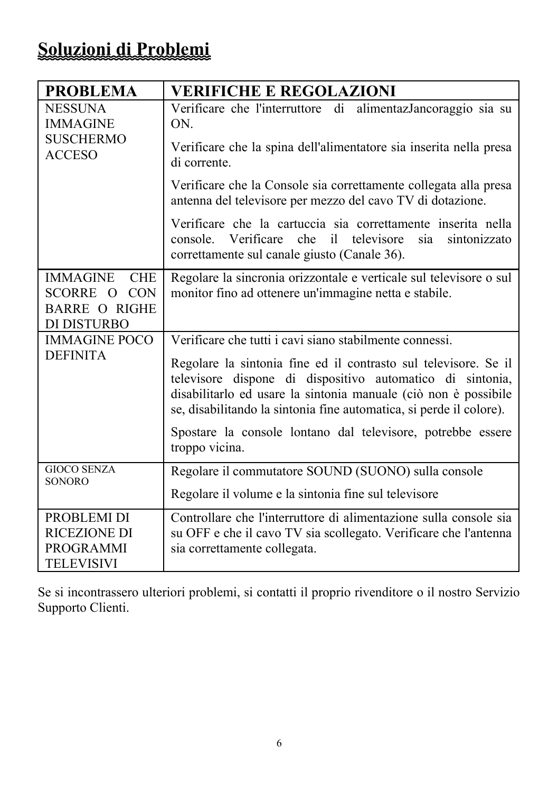| <b>PROBLEMA</b>                                                 | <b>VERIFICHE E REGOLAZIONI</b>                                                                                                                                                                                                                                         |  |  |  |  |  |  |
|-----------------------------------------------------------------|------------------------------------------------------------------------------------------------------------------------------------------------------------------------------------------------------------------------------------------------------------------------|--|--|--|--|--|--|
| <b>NESSUNA</b><br><b>IMMAGINE</b>                               | Verificare che l'interruttore di<br>alimentazJancoraggio sia su<br>ON.                                                                                                                                                                                                 |  |  |  |  |  |  |
| <b>SUSCHERMO</b><br><b>ACCESO</b>                               | Verificare che la spina dell'alimentatore sia inserita nella presa<br>di corrente.                                                                                                                                                                                     |  |  |  |  |  |  |
|                                                                 | Verificare che la Console sia correttamente collegata alla presa<br>antenna del televisore per mezzo del cavo TV di dotazione.                                                                                                                                         |  |  |  |  |  |  |
|                                                                 | Verificare che la cartuccia sia correttamente inserita nella<br>Verificare<br>televisore<br>che<br>il.<br>sia<br>sintonizzato<br>console.<br>correttamente sul canale giusto (Canale 36).                                                                              |  |  |  |  |  |  |
| <b>IMMAGINE</b><br><b>CHE</b>                                   | Regolare la sincronia orizzontale e verticale sul televisore o sul                                                                                                                                                                                                     |  |  |  |  |  |  |
| <b>CON</b><br><b>SCORRE</b><br>$\Omega$<br><b>BARRE O RIGHE</b> | monitor fino ad ottenere un'immagine netta e stabile.                                                                                                                                                                                                                  |  |  |  |  |  |  |
| DI DISTURBO                                                     |                                                                                                                                                                                                                                                                        |  |  |  |  |  |  |
| <b>IMMAGINE POCO</b>                                            | Verificare che tutti i cavi siano stabilmente connessi.                                                                                                                                                                                                                |  |  |  |  |  |  |
| <b>DEFINITA</b>                                                 | Regolare la sintonia fine ed il contrasto sul televisore. Se il<br>televisore dispone di dispositivo automatico di sintonia,<br>disabilitarlo ed usare la sintonia manuale (ciò non è possibile<br>se, disabilitando la sintonia fine automatica, si perde il colore). |  |  |  |  |  |  |
|                                                                 | Spostare la console lontano dal televisore, potrebbe essere<br>troppo vicina.                                                                                                                                                                                          |  |  |  |  |  |  |
| <b>GIOCO SENZA</b><br><b>SONORO</b>                             | Regolare il commutatore SOUND (SUONO) sulla console                                                                                                                                                                                                                    |  |  |  |  |  |  |
|                                                                 | Regolare il volume e la sintonia fine sul televisore                                                                                                                                                                                                                   |  |  |  |  |  |  |
| PROBLEMI DI<br><b>RICEZIONE DI</b>                              | Controllare che l'interruttore di alimentazione sulla console sia<br>su OFF e che il cavo TV sia scollegato. Verificare che l'antenna                                                                                                                                  |  |  |  |  |  |  |
| PROGRAMMI<br>TELEVISIVI                                         | sia correttamente collegata.                                                                                                                                                                                                                                           |  |  |  |  |  |  |

Se si incontrassero ulteriori problemi, si contatti il proprio rivenditore o il nostro Servizio Supporto Clienti.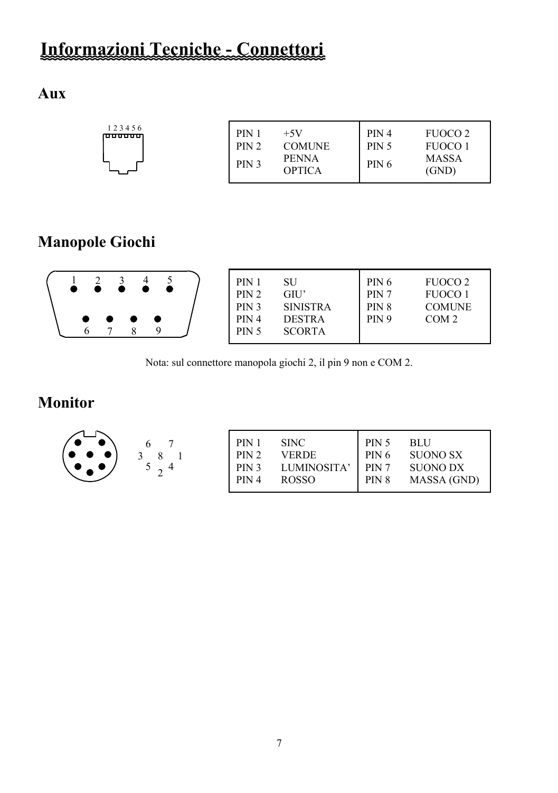# **Informazioni Tecniche - Connettori**

# **Aux**

|--|

# **Manopole Giochi**

|  |  | $\bullet\hspace{1mm}\bullet\hspace{1mm}\bullet\hspace{1mm}\bullet$ |  |  |  |  | PIN 1<br>PIN 2<br>PIN <sub>3</sub><br>PIN <sub>4</sub><br><b>PIN 5</b> | SU<br>GIU'<br><b>SINISTRA</b><br><b>DESTRA</b><br><b>SCORTA</b> | PIN 6<br>PIN <sub>7</sub><br>PIN <sub>8</sub><br>PIN <sub>9</sub> | FUOCO 2<br><b>FUOCO1</b><br><b>COMUNE</b><br>COM <sub>2</sub> |
|--|--|--------------------------------------------------------------------|--|--|--|--|------------------------------------------------------------------------|-----------------------------------------------------------------|-------------------------------------------------------------------|---------------------------------------------------------------|
|--|--|--------------------------------------------------------------------|--|--|--|--|------------------------------------------------------------------------|-----------------------------------------------------------------|-------------------------------------------------------------------|---------------------------------------------------------------|

Nota: sul connettore manopola giochi 2, il pin 9 non e COM 2.

# **Monitor**

| PIN 1            | <b>SINC</b>  | PIN 5            | BLU             |
|------------------|--------------|------------------|-----------------|
| PIN 2            | VERDE        | PIN <sub>6</sub> | <b>SUONO SX</b> |
| PIN <sub>3</sub> | LUMINOSITA'  | PIN <sub>7</sub> | <b>SUONO DX</b> |
| PIN 4            | <b>ROSSO</b> | PIN <sub>8</sub> | MASSA (GND)     |
|                  |              |                  |                 |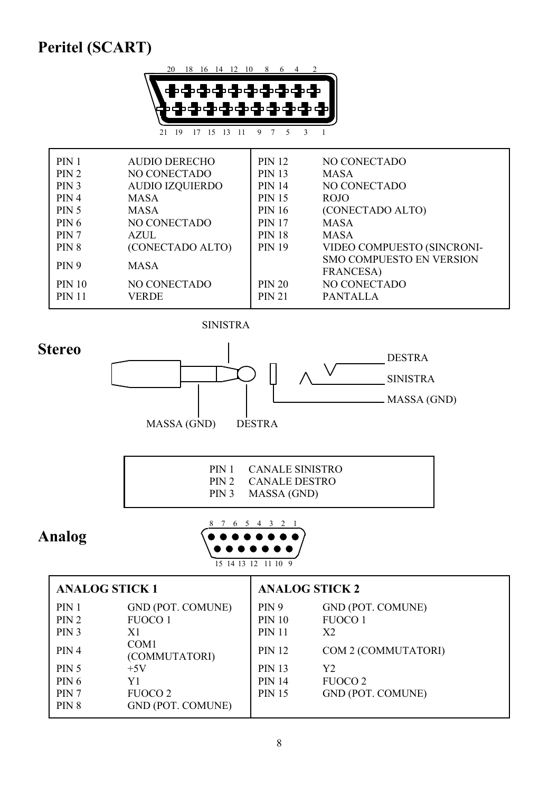# **Peritel (SCART)**



| PIN 1            | AUDIO DERECHO          | <b>PIN 12</b> | NO CONECTADO                                         |
|------------------|------------------------|---------------|------------------------------------------------------|
| PIN 2            | <b>NO CONECTADO</b>    | <b>PIN 13</b> | <b>MASA</b>                                          |
| PIN 3            | <b>AUDIO IZQUIERDO</b> | <b>PIN 14</b> | NO CONECTADO                                         |
| PIN 4            | <b>MASA</b>            | <b>PIN 15</b> | ROJO                                                 |
| <b>PIN 5</b>     | MASA                   | <b>PIN 16</b> | (CONECTADO ALTO)                                     |
| <b>PIN 6</b>     | NO CONECTADO           | <b>PIN 17</b> | <b>MASA</b>                                          |
| PIN <sub>7</sub> | AZUL                   | <b>PIN 18</b> | <b>MASA</b>                                          |
| PIN 8            | (CONECTADO ALTO)       | <b>PIN 19</b> | VIDEO COMPUESTO (SINCRONI-                           |
| PIN <sub>9</sub> | <b>MASA</b>            |               | <b>SMO COMPUESTO EN VERSION</b><br><b>FRANCESA</b> ) |
| <b>PIN 10</b>    | NO CONECTADO           | <b>PIN 20</b> | NO CONECTADO                                         |
| <b>PIN 11</b>    | <b>VERDE</b>           | <b>PIN 21</b> | <b>PANTALLA</b>                                      |





| PIN 1 CANALE SINISTRO<br>PIN 2 CANALE DESTRO<br>PIN 3 MASSA (GND) |  |
|-------------------------------------------------------------------|--|
|                                                                   |  |

# **Analog**



| <b>ANALOG STICK 1</b> |                                   | <b>ANALOG STICK 2</b> |                          |  |  |  |
|-----------------------|-----------------------------------|-----------------------|--------------------------|--|--|--|
| PIN 1                 | <b>GND (POT. COMUNE)</b>          | <b>PIN 9</b>          | <b>GND (POT. COMUNE)</b> |  |  |  |
| PIN 2                 | <b>FUOCO1</b>                     | <b>PIN 10</b>         | <b>FUOCO 1</b>           |  |  |  |
| PIN <sub>3</sub>      | X1                                | <b>PIN 11</b>         | X <sub>2</sub>           |  |  |  |
| PIN 4                 | COM <sub>1</sub><br>(COMMUTATORI) | <b>PIN 12</b>         | COM 2 (COMMUTATORI)      |  |  |  |
| <b>PIN 5</b>          | $+5V$                             | <b>PIN 13</b>         | Y2                       |  |  |  |
| <b>PIN 6</b>          | Y1                                | <b>PIN 14</b>         | <b>FUOCO 2</b>           |  |  |  |
| PIN <sub>7</sub>      | FUOCO 2                           | <b>PIN 15</b>         | <b>GND (POT. COMUNE)</b> |  |  |  |
| PIN 8                 | <b>GND (POT. COMUNE)</b>          |                       |                          |  |  |  |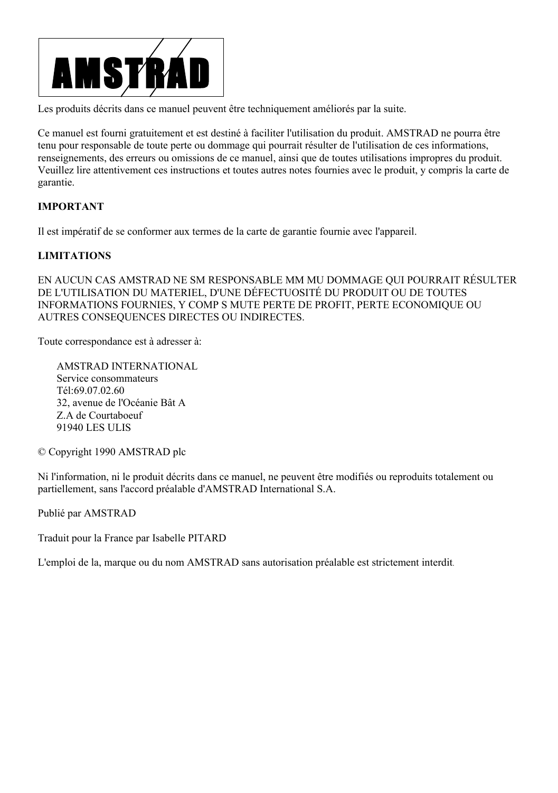

Les produits décrits dans ce manuel peuvent être techniquement améliorés par la suite.

Ce manuel est fourni gratuitement et est destiné à faciliter l'utilisation du produit. AMSTRAD ne pourra être tenu pour responsable de toute perte ou dommage qui pourrait résulter de l'utilisation de ces informations, renseignements, des erreurs ou omissions de ce manuel, ainsi que de toutes utilisations impropres du produit. Veuillez lire attentivement ces instructions et toutes autres notes fournies avec le produit, y compris la carte de garantie.

#### **IMPORTANT**

Il est impératif de se conformer aux termes de la carte de garantie fournie avec l'appareil.

#### **LIMITATIONS**

EN AUCUN CAS AMSTRAD NE SM RESPONSABLE MM MU DOMMAGE QUI POURRAIT RÉSULTER DE L'UTILISATION DU MATERIEL, D'UNE DÉFECTUOSITÉ DU PRODUIT OU DE TOUTES INFORMATIONS FOURNIES, Y COMP S MUTE PERTE DE PROFIT, PERTE ECONOMIQUE OU AUTRES CONSEQUENCES DIRECTES OU INDIRECTES.

Toute correspondance est à adresser à:

AMSTRAD INTERNATIONAL Service consommateurs Tél:69.07.02.60 32, avenue de l'Océanie Bât A Z.A de Courtaboeuf 91940 LES ULIS

© Copyright 1990 AMSTRAD plc

Ni l'information, ni le produit décrits dans ce manuel, ne peuvent être modifiés ou reproduits totalement ou partiellement, sans l'accord préalable d'AMSTRAD International S.A.

Publié par AMSTRAD

Traduit pour la France par Isabelle PITARD

L'emploi de la, marque ou du nom AMSTRAD sans autorisation préalable est strictement interdit.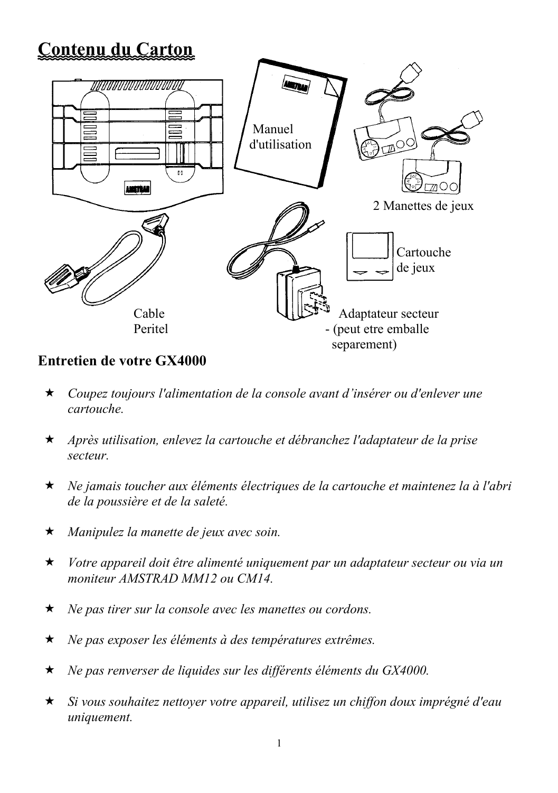# **Contenu du Carton**



## **Entretien de votre GX4000**

- *Coupez toujours l'alimentation de la console avant d'insérer ou d'enlever une cartouche.*
- *Après utilisation, enlevez la cartouche et débranchez l'adaptateur de la prise secteur.*
- *Ne jamais toucher aux éléments électriques de la cartouche et maintenez la à l'abri de la poussière et de la saleté.*
- *Manipulez la manette de jeux avec soin.*
- *Votre appareil doit être alimenté uniquement par un adaptateur secteur ou via un moniteur AMSTRAD MM12 ou CM14.*
- *Ne pas tirer sur la console avec les manettes ou cordons.*
- *Ne pas exposer les éléments à des températures extrêmes.*
- *Ne pas renverser de liquides sur les différents éléments du GX4000.*
- *Si vous souhaitez nettoyer votre appareil, utilisez un chiffon doux imprégné d'eau uniquement.*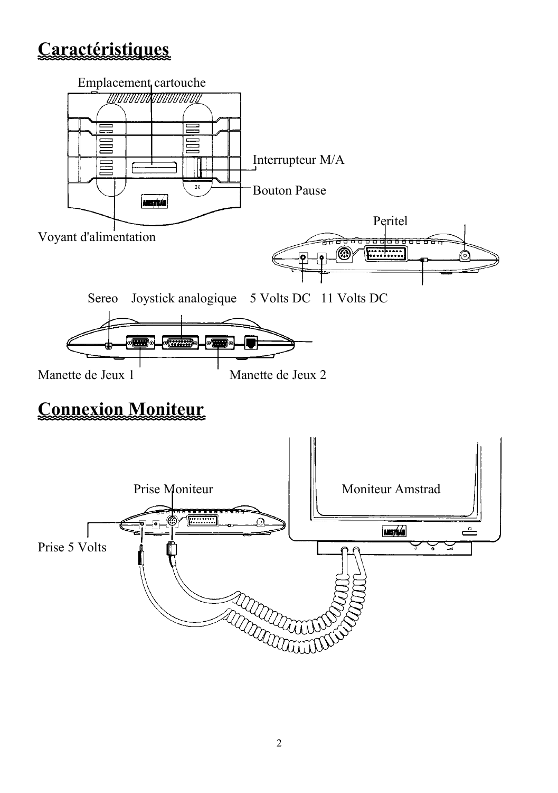# **Caractéristiques**

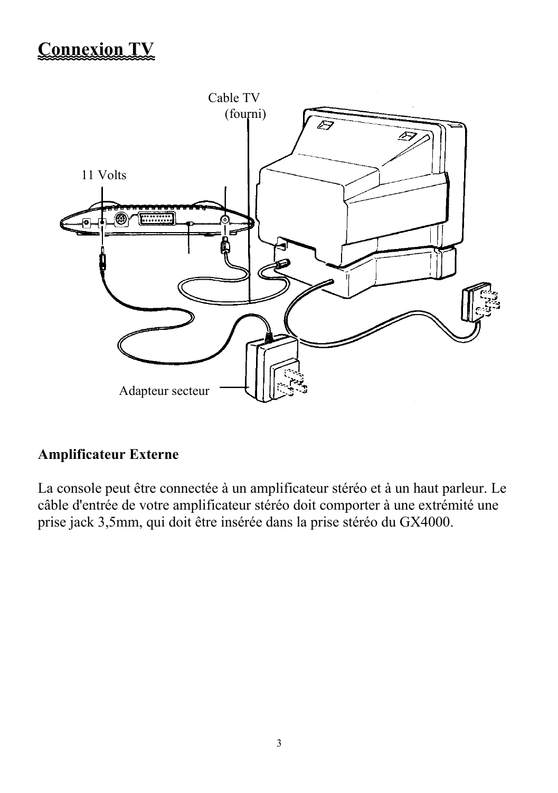# **Connexion TV**



## **Amplificateur Externe**

La console peut être connectée à un amplificateur stéréo et à un haut parleur. Le câble d'entrée de votre amplificateur stéréo doit comporter à une extrémité une prise jack 3,5mm, qui doit être insérée dans la prise stéréo du GX4000.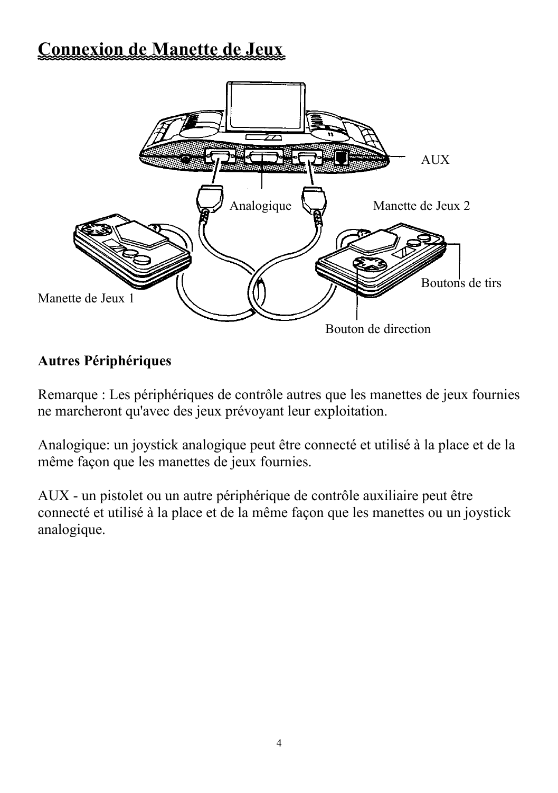# **Connexion de Manette de Jeux**



# **Autres Périphériques**

Remarque : Les périphériques de contrôle autres que les manettes de jeux fournies ne marcheront qu'avec des jeux prévoyant leur exploitation.

Analogique: un joystick analogique peut être connecté et utilisé à la place et de la même façon que les manettes de jeux fournies.

AUX - un pistolet ou un autre périphérique de contrôle auxiliaire peut être connecté et utilisé à la place et de la même façon que les manettes ou un joystick analogique.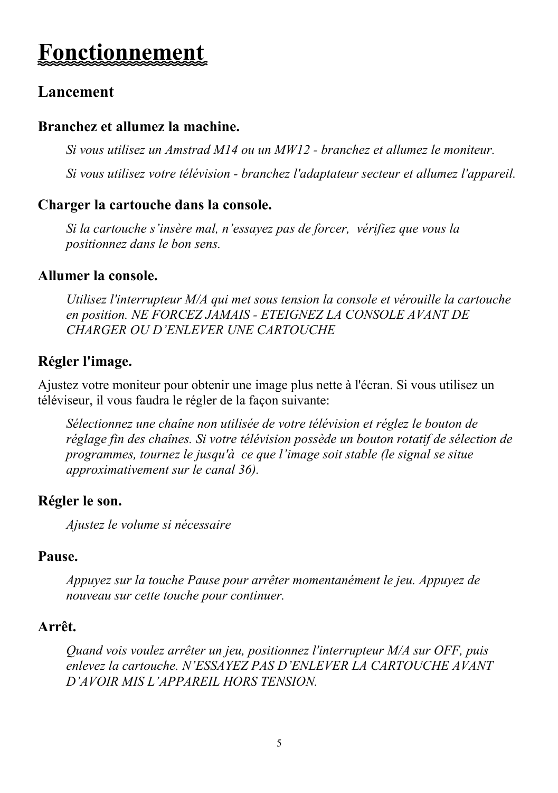# **Fonctionnemen**

# **Lancement**

## **Branchez et allumez la machine.**

*Si vous utilisez un Amstrad M14 ou un MW12 - branchez et allumez le moniteur.*

*Si vous utilisez votre télévision - branchez l'adaptateur secteur et allumez l'appareil.*

## **Charger la cartouche dans la console.**

*Si la cartouche s'insère mal, n'essayez pas de forcer, vérifiez que vous la positionnez dans le bon sens.*

## **Allumer la console.**

*Utilisez l'interrupteur M/A qui met sous tension la console et vérouille la cartouche en position. NE FORCEZ JAMAIS - ETEIGNEZ LA CONSOLE AVANT DE CHARGER OU D'ENLEVER UNE CARTOUCHE*

## **Régler l'image.**

Ajustez votre moniteur pour obtenir une image plus nette à l'écran. Si vous utilisez un téléviseur, il vous faudra le régler de la façon suivante:

*Sélectionnez une chaîne non utilisée de votre télévision et réglez le bouton de réglage fin des chaînes. Si votre télévision possède un bouton rotatif de sélection de programmes, tournez le jusqu'à ce que l'image soit stable (le signal se situe approximativement sur le canal 36).*

## **Régler le son.**

*Ajustez le volume si nécessaire*

## **Pause.**

*Appuyez sur la touche Pause pour arrêter momentanément le jeu. Appuyez de nouveau sur cette touche pour continuer.*

## **Arrêt.**

*Quand vois voulez arrêter un jeu, positionnez l'interrupteur M/A sur OFF, puis enlevez la cartouche. N'ESSAYEZ PAS D'ENLEVER LA CARTOUCHE AVANT D'AVOIR MIS L'APPAREIL HORS TENSION.*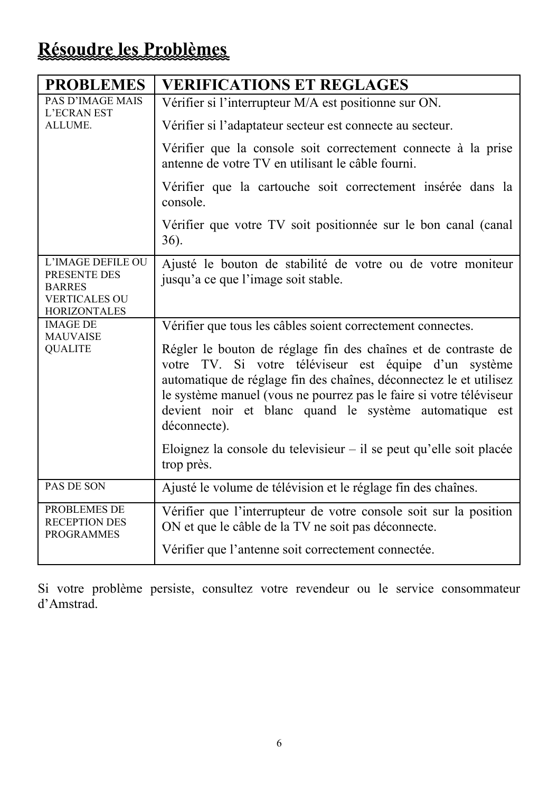# **Résoudre les Problèmes**

| <b>PROBLEMES</b>                                                                                  | <b>VERIFICATIONS ET REGLAGES</b>                                                                                                                                                                                                                                                                                                               |
|---------------------------------------------------------------------------------------------------|------------------------------------------------------------------------------------------------------------------------------------------------------------------------------------------------------------------------------------------------------------------------------------------------------------------------------------------------|
| <b>PAS D'IMAGE MAIS</b><br><b>L'ECRAN EST</b>                                                     | Vérifier si l'interrupteur M/A est positionne sur ON.                                                                                                                                                                                                                                                                                          |
| ALLUME.                                                                                           | Vérifier si l'adaptateur secteur est connecte au secteur.                                                                                                                                                                                                                                                                                      |
|                                                                                                   | Vérifier que la console soit correctement connecte à la prise<br>antenne de votre TV en utilisant le câble fourni.                                                                                                                                                                                                                             |
|                                                                                                   | Vérifier que la cartouche soit correctement insérée dans la<br>console.                                                                                                                                                                                                                                                                        |
|                                                                                                   | Vérifier que votre TV soit positionnée sur le bon canal (canal<br>$36$ ).                                                                                                                                                                                                                                                                      |
| L'IMAGE DEFILE OU<br>PRESENTE DES<br><b>BARRES</b><br><b>VERTICALES OU</b><br><b>HORIZONTALES</b> | Ajusté le bouton de stabilité de votre ou de votre moniteur<br>jusqu'a ce que l'image soit stable.                                                                                                                                                                                                                                             |
| <b>IMAGE DE</b><br><b>MAUVAISE</b>                                                                | Vérifier que tous les câbles soient correctement connectes.                                                                                                                                                                                                                                                                                    |
| <b>QUALITE</b>                                                                                    | Régler le bouton de réglage fin des chaînes et de contraste de<br>votre TV. Si votre téléviseur est équipe d'un système<br>automatique de réglage fin des chaînes, déconnectez le et utilisez<br>le système manuel (vous ne pourrez pas le faire si votre téléviseur<br>devient noir et blanc quand le système automatique est<br>déconnecte). |
|                                                                                                   | Eloignez la console du televisieur $-$ il se peut qu'elle soit placée<br>trop près.                                                                                                                                                                                                                                                            |
| PAS DE SON                                                                                        | Ajusté le volume de télévision et le réglage fin des chaînes.                                                                                                                                                                                                                                                                                  |
| PROBLEMES DE<br><b>RECEPTION DES</b><br><b>PROGRAMMES</b>                                         | Vérifier que l'interrupteur de votre console soit sur la position<br>ON et que le câble de la TV ne soit pas déconnecte.                                                                                                                                                                                                                       |
|                                                                                                   | Vérifier que l'antenne soit correctement connectée.                                                                                                                                                                                                                                                                                            |

Si votre problème persiste, consultez votre revendeur ou le service consommateur d'Amstrad.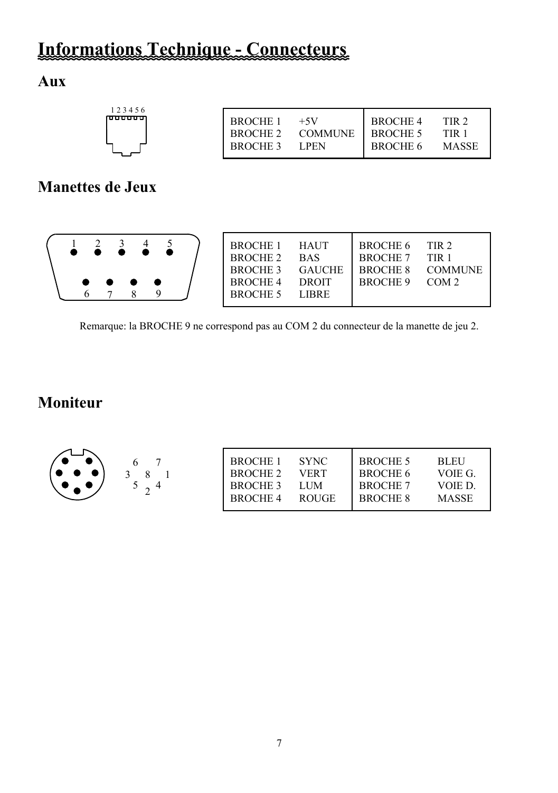# **Informations Technique - Connecteurs**

# **Aux**

| 123456<br>n <del>ooooo</del> | <b>BROCHE 1</b><br><b>BROCHE 2</b><br><b>BROCHE 3</b> | $+5V$<br><b>COMMUNE</b><br>LPEN | <b>BROCHE 4</b><br><b>BROCHE 5</b><br><b>BROCHE 6</b> | TIR 2.<br>FIR 1<br><b>MASSE</b> |
|------------------------------|-------------------------------------------------------|---------------------------------|-------------------------------------------------------|---------------------------------|
|                              |                                                       |                                 |                                                       |                                 |

# **Manettes de Jeux**

|  |  | $\bullet\hspace{0.4cm}\bullet\hspace{0.4cm}\bullet\hspace{0.4cm}\bullet$ |  |  |  |  |  | BROCHE 1 HAUT<br>BROCHE 2<br>BROCHE 3 GAUCHE<br>BROCHE 4<br>BROCHE 5 | <b>BAS</b><br><b>DROIT</b><br>LIBRE | BROCHE 6 TIR 2<br>BROCHE 7 TIR 1<br>BROCHE 9 COM 2 | BROCHE 8 COMMUNE |
|--|--|--------------------------------------------------------------------------|--|--|--|--|--|----------------------------------------------------------------------|-------------------------------------|----------------------------------------------------|------------------|
|--|--|--------------------------------------------------------------------------|--|--|--|--|--|----------------------------------------------------------------------|-------------------------------------|----------------------------------------------------|------------------|

Remarque: la BROCHE 9 ne correspond pas au COM 2 du connecteur de la manette de jeu 2.

# **Moniteur**

|  | <b>BROCHE 1</b><br>BROCHE 2<br>BROCHE 3 | <b>SYNC</b><br>VERT<br><b>LUM</b> | BROCHE 5<br>BROCHE 6<br><b>BROCHE 7</b> | <b>BLEU</b><br>VOIE G.<br>VOIE D- |
|--|-----------------------------------------|-----------------------------------|-----------------------------------------|-----------------------------------|
|  | BROCHE 4                                | <b>ROUGE</b>                      | <b>BROCHE 8</b>                         | <b>MASSE</b>                      |
|  |                                         |                                   |                                         |                                   |